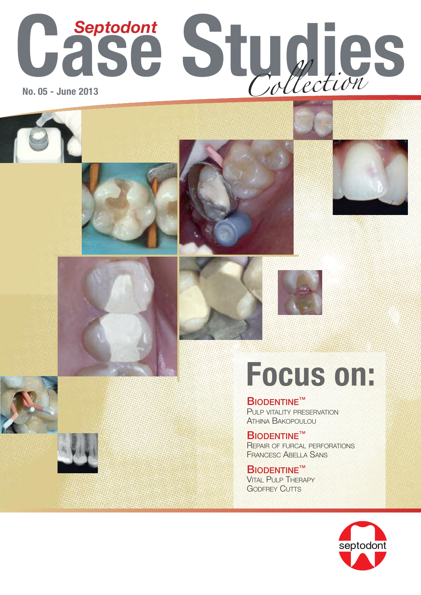















## **Focus on:**

#### **BIODENTINE™**

PULP VITALITY PRESERVATION ATHINA BAKOPOULOU

#### **BIODENTINE™**

REPAIR OF FURCAL PERFORATIONS FRANCESC ABELLA SANS

#### **BIODENTINE™**

VITAL PULP THERAPY **GODFREY CUTTS** 

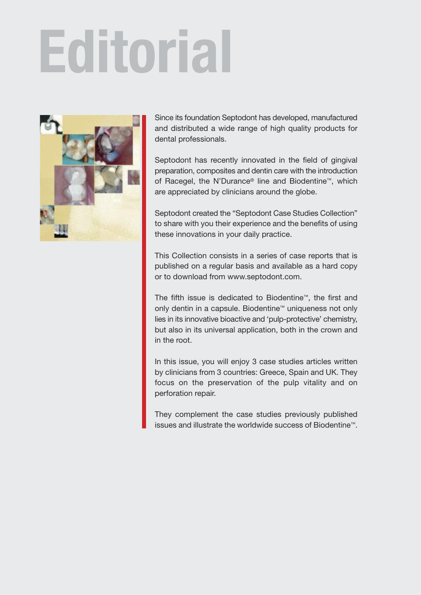# **Editorial**



Since its foundation Septodont has developed, manufactured and distributed a wide range of high quality products for dental professionals.

Septodont has recently innovated in the field of gingival preparation, composites and dentin care with the introduction of Racegel, the N'Durance® line and Biodentine™, which are appreciated by clinicians around the globe.

Septodont created the "Septodont Case Studies Collection" to share with you their experience and the benefits of using these innovations in your daily practice.

This Collection consists in a series of case reports that is published on a regular basis and available as a hard copy or to download from www.septodont.com.

The fifth issue is dedicated to Biodentine™, the first and only dentin in a capsule. Biodentine™ uniqueness not only lies in its innovative bioactive and 'pulp-protective' chemistry, but also in its universal application, both in the crown and in the root.

In this issue, you will enjoy 3 case studies articles written by clinicians from 3 countries: Greece, Spain and UK. They focus on the preservation of the pulp vitality and on perforation repair.

They complement the case studies previously published issues and illustrate the worldwide success of Biodentine™.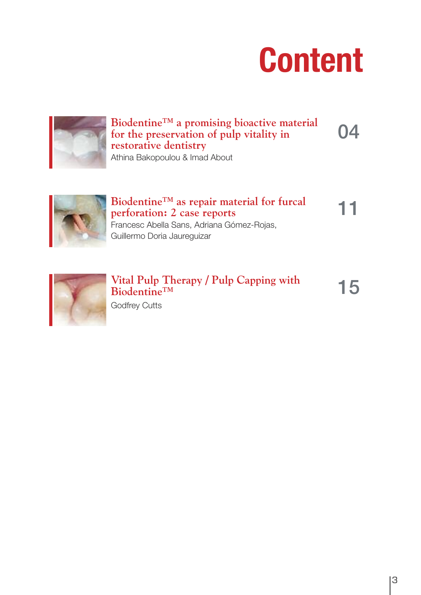# **Content**

**04**

**11**



#### **Biodentine™ a promising bioactive material for the preservation of pulp vitality in restorative dentistry**

Athina Bakopoulou & Imad About



#### **Biodentine™ as repair material for furcal perforation: 2 case reports**

Francesc Abella Sans, Adriana Gómez-Rojas, Guillermo Doria Jaureguizar



#### **Vital Pulp Therapy / Pulp Capping with Biodentine™** Godfrey Cutts **15**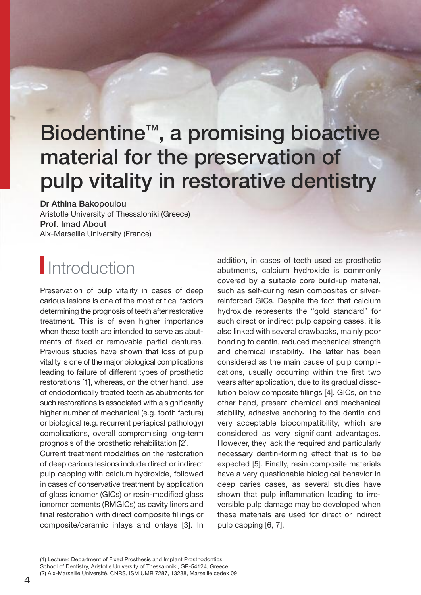### **Biodentine™ , a promising bioactive material for the preservation of pulp vitality in restorative dentistry**

**Dr Athina Bakopoulou** Aristotle University of Thessaloniki (Greece) **Prof. Imad About** Aix-Marseille University (France)

### **Introduction**

Preservation of pulp vitality in cases of deep carious lesions is one of the most critical factors determining the prognosis of teeth after restorative treatment. This is of even higher importance when these teeth are intended to serve as abutments of fixed or removable partial dentures. Previous studies have shown that loss of pulp vitality is one of the major biological complications leading to failure of different types of prosthetic restorations [1], whereas, on the other hand, use of endodontically treated teeth as abutments for such restorations is associated with a significantly higher number of mechanical (e.g. tooth facture) or biological (e.g. recurrent periapical pathology) complications, overall compromising long-term prognosis of the prosthetic rehabilitation [2].

Current treatment modalities on the restoration of deep carious lesions include direct or indirect pulp capping with calcium hydroxide, followed in cases of conservative treatment by application of glass ionomer (GICs) or resin-modified glass ionomer cements (RMGICs) as cavity liners and final restoration with direct composite fillings or composite/ceramic inlays and onlays [3]. In addition, in cases of teeth used as prosthetic abutments, calcium hydroxide is commonly covered by a suitable core build-up material, such as self-curing resin composites or silverreinforced GICs. Despite the fact that calcium hydroxide represents the "gold standard" for such direct or indirect pulp capping cases, it is also linked with several drawbacks, mainly poor bonding to dentin, reduced mechanical strength and chemical instability. The latter has been considered as the main cause of pulp complications, usually occurring within the first two years after application, due to its gradual dissolution below composite fillings [4]. GICs, on the other hand, present chemical and mechanical stability, adhesive anchoring to the dentin and very acceptable biocompatibility, which are considered as very significant advantages. However, they lack the required and particularly necessary dentin-forming effect that is to be expected [5]. Finally, resin composite materials have a very questionable biological behavior in deep caries cases, as several studies have shown that pulp inflammation leading to irreversible pulp damage may be developed when these materials are used for direct or indirect pulp capping [6, 7].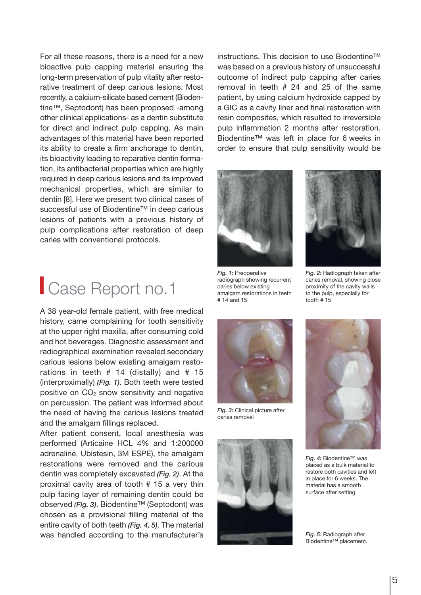For all these reasons, there is a need for a new bioactive pulp capping material ensuring the long-term preservation of pulp vitality after restorative treatment of deep carious lesions. Most recently, a calcium-silicate based cement (Biodentine™, Septodont) has been proposed -among other clinical applications- as a dentin substitute for direct and indirect pulp capping. As main advantages of this material have been reported its ability to create a firm anchorage to dentin, its bioactivity leading to reparative dentin formation, its antibacterial properties which are highly required in deep carious lesions and its improved mechanical properties, which are similar to dentin [8]. Here we present two clinical cases of successful use of Biodentine™ in deep carious lesions of patients with a previous history of pulp complications after restoration of deep caries with conventional protocols.

### Case Report no.1

A 38 year-old female patient, with free medical history, came complaining for tooth sensitivity at the upper right maxilla, after consuming cold and hot beverages. Diagnostic assessment and radiographical examination revealed secondary carious lesions below existing amalgam restorations in teeth  $# 14$  (distally) and  $# 15$ (interproximally) *(Fig. 1)*. Both teeth were tested positive on  $CO<sub>2</sub>$  snow sensitivity and negative on percussion. The patient was informed about the need of having the carious lesions treated and the amalgam fillings replaced.

After patient consent, local anesthesia was performed (Articaine HCL 4% and 1:200000 adrenaline, Ubistesin, 3M ESPE), the amalgam restorations were removed and the carious dentin was completely excavated *(Fig. 2)*. At the proximal cavity area of tooth # 15 a very thin pulp facing layer of remaining dentin could be observed *(Fig. 3)*. Biodentine™ (Septodont) was chosen as a provisional filling material of the entire cavity of both teeth *(Fig. 4, 5)*. The material was handled according to the manufacturer's

instructions. This decision to use Biodentine™ was based on a previous history of unsuccessful outcome of indirect pulp capping after caries removal in teeth # 24 and 25 of the same patient, by using calcium hydroxide capped by a GIC as a cavity liner and final restoration with resin composites, which resulted to irreversible pulp inflammation 2 months after restoration. Biodentine™ was left in place for 6 weeks in order to ensure that pulp sensitivity would be



*Fig. 1:* Preoperative radiograph showing recurrent caries below existing amalgam restorations in teeth # 14 and 15



*Fig. 2:* Radiograph taken after caries removal, showing close proximity of the cavity walls to the pulp, especially for tooth  $\#$  15



*Fig. 3:* Clinical picture after caries removal





*Fig. 4:* Biodentine™ was placed as a bulk material to restore both cavities and left in place for 6 weeks. The material has a smooth surface after setting.

*Fig. 5:* Radiograph after Biodentine™ placement.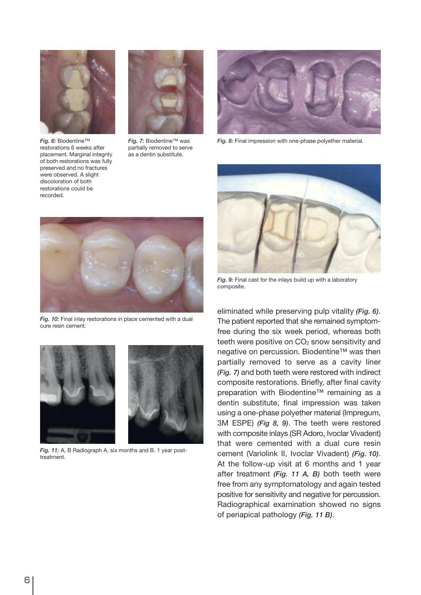

*Fig. 6:* Biodentine™ restorations 6 weeks after placement. Marginal integrity of both restorations was fully preserved and no fractures were observed. A slight discoloration of both restorations could be recorded.



*Fig. 7:* Biodentine™ was partially removed to serve as a dentin substitute.



*Fig. 10:* Final inlay restorations in place cemented with a dual cure resin cement.



*Fig. 11:* A, B Radiograph A. six months and B. 1 year posttreatment.



*Fig. 8:* Final impression with one-phase polyether material.



*Fig. 9:* Final cast for the inlays build up with a laboratory composite.

eliminated while preserving pulp vitality *(Fig. 6)*. The patient reported that she remained symptomfree during the six week period, whereas both teeth were positive on CO<sub>2</sub> snow sensitivity and negative on percussion. Biodentine™ was then partially removed to serve as a cavity liner *(Fig. 7)* and both teeth were restored with indirect composite restorations. Briefly, after final cavity preparation with Biodentine™ remaining as a dentin substitute, final impression was taken using a one-phase polyether material (Impregum, 3M ESPE) *(Fig 8, 9)*. The teeth were restored with composite inlays (SR Adoro, Ivoclar Vivadent) that were cemented with a dual cure resin cement (Variolink II, Ivoclar Vivadent) *(Fig. 10)*. At the follow-up visit at 6 months and 1 year after treatment *(Fig. 11 A, B)* both teeth were free from any symptomatology and again tested positive for sensitivity and negative for percussion. Radiographical examination showed no signs of periapical pathology *(Fig. 11 B)*.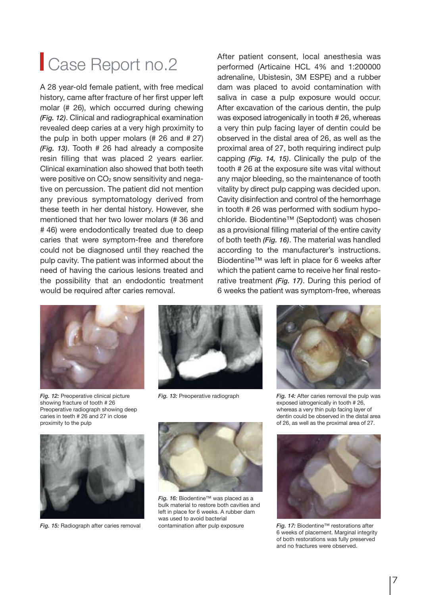### Case Report no.2

A 28 year-old female patient, with free medical history, came after fracture of her first upper left molar (# 26), which occurred during chewing *(Fig. 12)*. Clinical and radiographical examination revealed deep caries at a very high proximity to the pulp in both upper molars (# 26 and # 27) *(Fig. 13)*. Tooth # 26 had already a composite resin filling that was placed 2 years earlier. Clinical examination also showed that both teeth were positive on  $CO<sub>2</sub>$  snow sensitivity and negative on percussion. The patient did not mention any previous symptomatology derived from these teeth in her dental history. However, she mentioned that her two lower molars (# 36 and # 46) were endodontically treated due to deep caries that were symptom-free and therefore could not be diagnosed until they reached the pulp cavity. The patient was informed about the need of having the carious lesions treated and the possibility that an endodontic treatment would be required after caries removal.

After patient consent, local anesthesia was performed (Articaine HCL 4% and 1:200000 adrenaline, Ubistesin, 3M ESPE) and a rubber dam was placed to avoid contamination with saliva in case a pulp exposure would occur. After excavation of the carious dentin, the pulp was exposed iatrogenically in tooth # 26, whereas a very thin pulp facing layer of dentin could be observed in the distal area of 26, as well as the proximal area of 27, both requiring indirect pulp capping *(Fig. 14, 15)*. Clinically the pulp of the tooth # 26 at the exposure site was vital without any major bleeding, so the maintenance of tooth vitality by direct pulp capping was decided upon. Cavity disinfection and control of the hemorrhage in tooth # 26 was performed with sodium hypochloride. Biodentine™ (Septodont) was chosen as a provisional filling material of the entire cavity of both teeth *(Fig. 16)*. The material was handled according to the manufacturer's instructions. Biodentine™ was left in place for 6 weeks after which the patient came to receive her final restorative treatment *(Fig. 17)*. During this period of 6 weeks the patient was symptom-free, whereas



*Fig. 12:* Preoperative clinical picture showing fracture of tooth # 26 Preoperative radiograph showing deep caries in teeth # 26 and 27 in close proximity to the pulp





*Fig. 13:* Preoperative radiograph *Fig. 14:* After caries removal the pulp was exposed iatrogenically in tooth # 26, whereas a very thin pulp facing layer of dentin could be observed in the distal area of 26, as well as the proximal area of 27.



*Fig. 15:* Radiograph after caries removal



*Fig. 16:* Biodentine™ was placed as a bulk material to restore both cavities and left in place for 6 weeks. A rubber dam was used to avoid bacterial contamination after pulp exposure *Fig. 17:* Biodentine™ restorations after



6 weeks of placement. Marginal integrity of both restorations was fully preserved and no fractures were observed.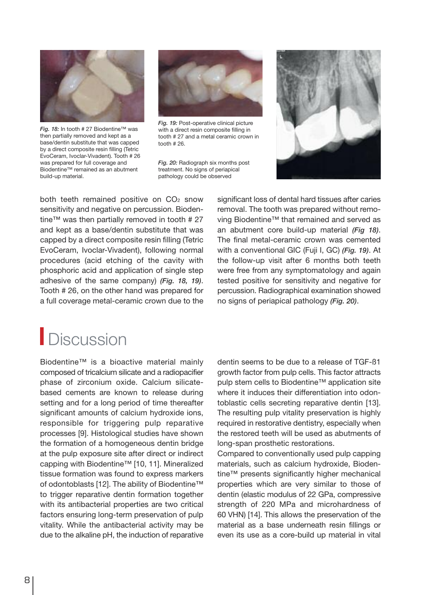

*Fig. 18:* In tooth # 27 Biodentine™ was then partially removed and kept as a base/dentin substitute that was capped by a direct composite resin filling (Tetric EvoCeram, Ivoclar-Vivadent). Tooth # 26 was prepared for full coverage and Biodentine™ remained as an abutment build-up material.



*Fig. 19:* Post-operative clinical picture with a direct resin composite filling in tooth # 27 and a metal ceramic crown in tooth # 26.

*Fig. 20:* Radiograph six months post treatment. No signs of periapical pathology could be observed



both teeth remained positive on  $CO<sub>2</sub>$  snow sensitivity and negative on percussion. Biodentine™ was then partially removed in tooth # 27 and kept as a base/dentin substitute that was capped by a direct composite resin filling (Tetric EvoCeram, Ivoclar-Vivadent), following normal procedures (acid etching of the cavity with phosphoric acid and application of single step adhesive of the same company) *(Fig. 18, 19)*. Tooth # 26, on the other hand was prepared for a full coverage metal-ceramic crown due to the significant loss of dental hard tissues after caries removal. The tooth was prepared without removing Biodentine™ that remained and served as an abutment core build-up material *(Fig 18)*. The final metal-ceramic crown was cemented with a conventional GIC (Fuji I, GC) *(Fig. 19)*. At the follow-up visit after 6 months both teeth were free from any symptomatology and again tested positive for sensitivity and negative for percussion. Radiographical examination showed no signs of periapical pathology *(Fig. 20)*.

### **Discussion**

Biodentine™ is a bioactive material mainly composed of tricalcium silicate and a radiopacifier phase of zirconium oxide. Calcium silicatebased cements are known to release during setting and for a long period of time thereafter significant amounts of calcium hydroxide ions, responsible for triggering pulp reparative processes [9]. Histological studies have shown the formation of a homogeneous dentin bridge at the pulp exposure site after direct or indirect capping with Biodentine™ [10, 11]. Mineralized tissue formation was found to express markers of odontoblasts [12]. The ability of Biodentine™ to trigger reparative dentin formation together with its antibacterial properties are two critical factors ensuring long-term preservation of pulp vitality. While the antibacterial activity may be due to the alkaline pH, the induction of reparative

dentin seems to be due to a release of TGF-ß1 growth factor from pulp cells. This factor attracts pulp stem cells to Biodentine™ application site where it induces their differentiation into odontoblastic cells secreting reparative dentin [13]. The resulting pulp vitality preservation is highly required in restorative dentistry, especially when the restored teeth will be used as abutments of long-span prosthetic restorations.

Compared to conventionally used pulp capping materials, such as calcium hydroxide, Biodentine™ presents significantly higher mechanical properties which are very similar to those of dentin (elastic modulus of 22 GPa, compressive strength of 220 MPa and microhardness of 60 VHN) [14]. This allows the preservation of the material as a base underneath resin fillings or even its use as a core-build up material in vital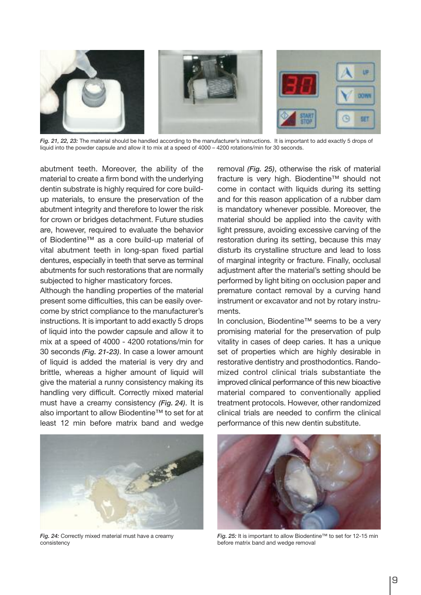

*Fig. 21, 22, 23:* The material should be handled according to the manufacturer's instructions. It is important to add exactly 5 drops of liquid into the powder capsule and allow it to mix at a speed of 4000 – 4200 rotations/min for 30 seconds.

abutment teeth. Moreover, the ability of the material to create a firm bond with the underlying dentin substrate is highly required for core buildup materials, to ensure the preservation of the abutment integrity and therefore to lower the risk for crown or bridges detachment. Future studies are, however, required to evaluate the behavior of Biodentine™ as a core build-up material of vital abutment teeth in long-span fixed partial dentures, especially in teeth that serve as terminal abutments for such restorations that are normally subjected to higher masticatory forces.

Although the handling properties of the material present some difficulties, this can be easily overcome by strict compliance to the manufacturer's instructions. It is important to add exactly 5 drops of liquid into the powder capsule and allow it to mix at a speed of 4000 - 4200 rotations/min for 30 seconds *(Fig. 21-23)*. In case a lower amount of liquid is added the material is very dry and brittle, whereas a higher amount of liquid will give the material a runny consistency making its handling very difficult. Correctly mixed material must have a creamy consistency *(Fig. 24)*. It is also important to allow Biodentine™ to set for at least 12 min before matrix band and wedge



*Fig. 24:* Correctly mixed material must have a creamy consistency

removal *(Fig. 25)*, otherwise the risk of material fracture is very high. Biodentine™ should not come in contact with liquids during its setting and for this reason application of a rubber dam is mandatory whenever possible. Moreover, the material should be applied into the cavity with light pressure, avoiding excessive carving of the restoration during its setting, because this may disturb its crystalline structure and lead to loss of marginal integrity or fracture. Finally, occlusal adjustment after the material's setting should be performed by light biting on occlusion paper and premature contact removal by a curving hand instrument or excavator and not by rotary instruments.

In conclusion, Biodentine™ seems to be a very promising material for the preservation of pulp vitality in cases of deep caries. It has a unique set of properties which are highly desirable in restorative dentistry and prosthodontics. Randomized control clinical trials substantiate the improved clinical performance of this new bioactive material compared to conventionally applied treatment protocols. However, other randomized clinical trials are needed to confirm the clinical performance of this new dentin substitute.



*Fig. 25:* It is important to allow Biodentine™ to set for 12-15 min before matrix band and wedge removal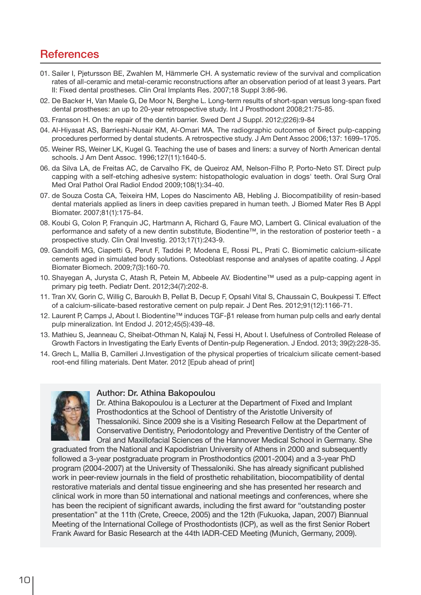#### **References**

- 01. Sailer I, Pjetursson BE, Zwahlen M, Hämmerle CH. A systematic review of the survival and complication rates of all-ceramic and metal-ceramic reconstructions after an observation period of at least 3 years. Part II: Fixed dental prostheses. Clin Oral Implants Res. 2007;18 Suppl 3:86-96.
- 02. De Backer H, Van Maele G, De Moor N, Berghe L. Long-term results of short-span versus long-span fixed dental prostheses: an up to 20-year retrospective study. Int J Prosthodont 2008;21:75-85.
- 03. Fransson H. On the repair of the dentin barrier. Swed Dent J Suppl. 2012;(226):9-84
- 04. Al-Hiyasat AS, Barrieshi-Nusair KM, Al-Omari MA. The radiographic outcomes of δirect pulp-capping procedures performed by dental students. A retrospective study. J Am Dent Assoc 2006;137: 1699–1705.
- 05. Weiner RS, Weiner LK, Kugel G. Teaching the use of bases and liners: a survey of North American dental schools. J Am Dent Assoc. 1996;127(11):1640-5.
- 06. da Silva LA, de Freitas AC, de Carvalho FK, de Queiroz AM, Nelson-Filho P, Porto-Neto ST. Direct pulp capping with a self-etching adhesive system: histopathologic evaluation in dogs' teeth. Oral Surg Oral Med Oral Pathol Oral Radiol Endod 2009;108(1):34-40.
- 07. de Souza Costa CA, Teixeira HM, Lopes do Nascimento AB, Hebling J. Biocompatibility of resin-based dental materials applied as liners in deep cavities prepared in human teeth. J Biomed Mater Res B Appl Biomater. 2007;81(1):175-84.
- 08. Koubi G, Colon P, Franquin JC, Hartmann A, Richard G, Faure MO, Lambert G. Clinical evaluation of the performance and safety of a new dentin substitute, Biodentine™, in the restoration of posterior teeth - a prospective study. Clin Oral Investig. 2013;17(1):243-9.
- 09. Gandolfi MG, Ciapetti G, Perut F, Taddei P, Modena E, Rossi PL, Prati C. Biomimetic calcium-silicate cements aged in simulated body solutions. Osteoblast response and analyses of apatite coating. J Appl Biomater Biomech. 2009;7(3):160-70.
- 10. Shayegan A, Jurysta C, Atash R, Petein M, Abbeele AV. Biodentine™ used as a pulp-capping agent in primary pig teeth. Pediatr Dent. 2012;34(7):202-8.
- 11. Tran XV, Gorin C, Willig C, Baroukh B, Pellat B, Decup F, Opsahl Vital S, Chaussain C, Boukpessi T. Effect of a calcium-silicate-based restorative cement on pulp repair. J Dent Res. 2012;91(12):1166-71.
- 12. Laurent P, Camps J, About I. Biodentine™ induces TGF-β1 release from human pulp cells and early dental pulp mineralization. Int Endod J. 2012;45(5):439-48.
- 13. Mathieu S, Jeanneau C, Sheibat-Othman N, Kalaji N, Fessi H, About I. Usefulness of Controlled Release of Growth Factors in Investigating the Early Events of Dentin-pulp Regeneration. J Endod. 2013; 39(2):228-35.
- 14. Grech L, Mallia B, Camilleri J.Investigation of the physical properties of tricalcium silicate cement-based root-end filling materials. Dent Mater. 2012 [Epub ahead of print]



#### **Author: Dr. Athina Bakopoulou**

Dr. Athina Bakopoulou is a Lecturer at the Department of Fixed and Implant Prosthodontics at the School of Dentistry of the Aristotle University of Thessaloniki. Since 2009 she is a Visiting Research Fellow at the Department of Conservative Dentistry, Periodontology and Preventive Dentistry of the Center of Oral and Maxillofacial Sciences of the Hannover Medical School in Germany. She

graduated from the National and Kapodistrian University of Athens in 2000 and subsequently followed a 3-year postgraduate program in Prosthodontics (2001-2004) and a 3-year PhD program (2004-2007) at the University of Thessaloniki. She has already significant published work in peer-review journals in the field of prosthetic rehabilitation, biocompatibility of dental restorative materials and dental tissue engineering and she has presented her research and clinical work in more than 50 international and national meetings and conferences, where she has been the recipient of significant awards, including the first award for "outstanding poster presentation" at the 11th (Crete, Creece, 2005) and the 12th (Fukuoka, Japan, 2007) Biannual Meeting of the International College of Prosthodontists (ICP), as well as the first Senior Robert Frank Award for Basic Research at the 44th IADR-CED Meeting (Munich, Germany, 2009).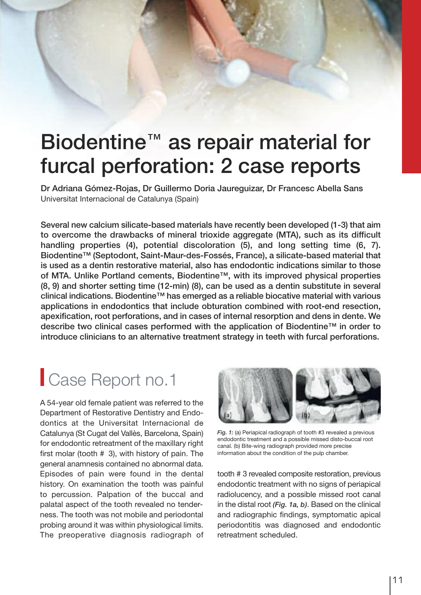### **Biodentine**™ **as repair material for furcal perforation: 2 case reports**

**Dr Adriana Gómez-Rojas, Dr Guillermo Doria Jaureguizar, Dr Francesc Abella Sans** Universitat Internacional de Catalunya (Spain)

**Several new calcium silicate-based materials have recently been developed (1-3) that aim to overcome the drawbacks of mineral trioxide aggregate (MTA), such as its difficult handling properties (4), potential discoloration (5), and long setting time (6, 7). Biodentine™ (Septodont, Saint-Maur-des-Fossés, France), a silicate-based material that is used as a dentin restorative material, also has endodontic indications similar to those of MTA. Unlike Portland cements, Biodentine™, with its improved physical properties (8, 9) and shorter setting time (12-min) (8), can be used as a dentin substitute in several clinical indications. Biodentine™ has emerged as a reliable biocative material with various applications in endodontics that include obturation combined with root-end resection, apexification, root perforations, and in cases of internal resorption and dens in dente. We describe two clinical cases performed with the application of Biodentine™ in order to introduce clinicians to an alternative treatment strategy in teeth with furcal perforations.**

### Case Report no.1

A 54-year old female patient was referred to the Department of Restorative Dentistry and Endodontics at the Universitat Internacional de Catalunya (St Cugat del Vallès, Barcelona, Spain) for endodontic retreatment of the maxillary right first molar (tooth # 3), with history of pain. The general anamnesis contained no abnormal data. Episodes of pain were found in the dental history. On examination the tooth was painful to percussion. Palpation of the buccal and palatal aspect of the tooth revealed no tenderness. The tooth was not mobile and periodontal probing around it was within physiological limits. The preoperative diagnosis radiograph of



*Fig. 1:* (a) Periapical radiograph of tooth #3 revealed a previous endodontic treatment and a possible missed disto-buccal root canal. (b) Bite-wing radiograph provided more precise information about the condition of the pulp chamber.

tooth # 3 revealed composite restoration, previous endodontic treatment with no signs of periapical radiolucency, and a possible missed root canal in the distal root *(Fig. 1a, b)*. Based on the clinical and radiographic findings, symptomatic apical periodontitis was diagnosed and endodontic retreatment scheduled.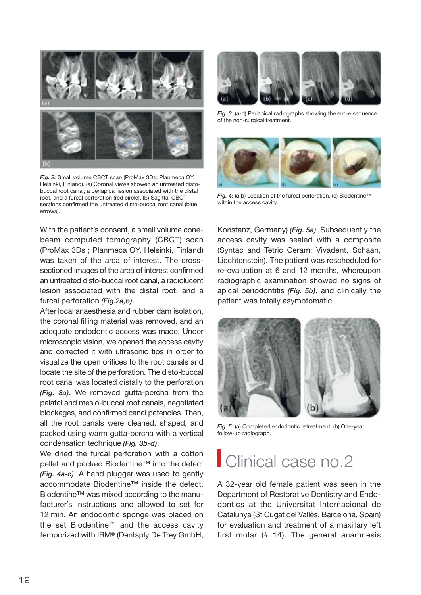

*Fig. 2:* Small volume CBCT scan (ProMax 3Ds; Planmeca OY, Helsinki, Finland). (a) Coronal views showed an untreated distobuccal root canal, a periapical lesion associated with the distal root, and a furcal perforation (red circle). (b) Sagittal CBCT sections confirmed the untreated disto-buccal root canal (blue arrows).

With the patient's consent, a small volume conebeam computed tomography (CBCT) scan (ProMax 3Ds ; Planmeca OY, Helsinki, Finland) was taken of the area of interest. The crosssectioned images of the area of interest confirmed an untreated disto-buccal root canal, a radiolucent lesion associated with the distal root, and a furcal perforation *(Fig.2a,b)*.

After local anaesthesia and rubber dam isolation, the coronal filling material was removed, and an adequate endodontic access was made. Under microscopic vision, we opened the access cavity and corrected it with ultrasonic tips in order to visualize the open orifices to the root canals and locate the site of the perforation. The disto-buccal root canal was located distally to the perforation *(Fig. 3a)*. We removed gutta-percha from the palatal and mesio-buccal root canals, negotiated blockages, and confirmed canal patencies. Then, all the root canals were cleaned, shaped, and packed using warm gutta-percha with a vertical condensation technique *(Fig. 3b-d)*.

We dried the furcal perforation with a cotton pellet and packed Biodentine™ into the defect *(Fig. 4a-c)*. A hand plugger was used to gently accommodate Biodentine™ inside the defect. Biodentine™ was mixed according to the manufacturer's instructions and allowed to set for 12 min. An endodontic sponge was placed on the set Biodentine $m$  and the access cavity temporized with IRM® (Dentsply De Trey GmbH,



*Fig. 3:* (a-d) Periapical radiographs showing the entire sequence of the non-surgical treatment.



*Fig. 4:* (a,b) Location of the furcal perforation. (c) Biodentine™ within the access cavity.

Konstanz, Germany) *(Fig. 5a)*. Subsequently the access cavity was sealed with a composite (Syntac and Tetric Ceram; Vivadent, Schaan, Liechtenstein). The patient was rescheduled for re-evaluation at 6 and 12 months, whereupon radiographic examination showed no signs of apical periodontitis *(Fig. 5b)*, and clinically the patient was totally asymptomatic.



*Fig. 5:* (a) Completed endodontic retreatment. (b) One-year follow-up radiograph.

### Clinical case no.2

A 32-year old female patient was seen in the Department of Restorative Dentistry and Endodontics at the Universitat Internacional de Catalunya (St Cugat del Vallès, Barcelona, Spain) for evaluation and treatment of a maxillary left first molar (# 14). The general anamnesis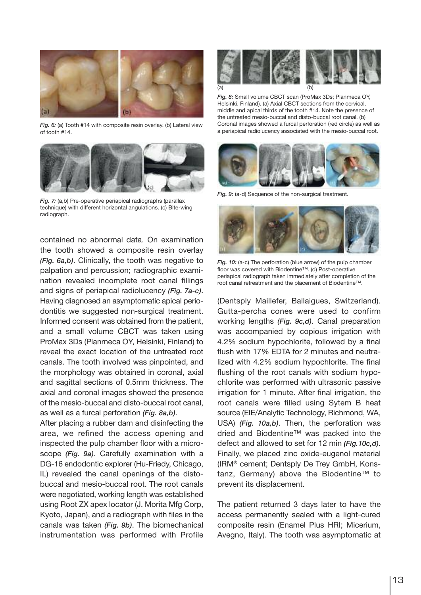

*Fig. 6:* (a) Tooth #14 with composite resin overlay. (b) Lateral view of tooth #14.



*Fig. 7:* (a,b) Pre-operative periapical radiographs (parallax technique) with different horizontal angulations. (c) Bite-wing radiograph.

contained no abnormal data. On examination the tooth showed a composite resin overlay *(Fig. 6a,b)*. Clinically, the tooth was negative to palpation and percussion; radiographic examination revealed incomplete root canal fillings and signs of periapical radiolucency *(Fig. 7a-c)*. Having diagnosed an asymptomatic apical periodontitis we suggested non-surgical treatment. Informed consent was obtained from the patient, and a small volume CBCT was taken using ProMax 3Ds (Planmeca OY, Helsinki, Finland) to reveal the exact location of the untreated root canals. The tooth involved was pinpointed, and the morphology was obtained in coronal, axial and sagittal sections of 0.5mm thickness. The axial and coronal images showed the presence of the mesio-buccal and disto-buccal root canal, as well as a furcal perforation *(Fig. 8a,b)*.

After placing a rubber dam and disinfecting the area, we refined the access opening and inspected the pulp chamber floor with a microscope *(Fig. 9a)*. Carefully examination with a DG-16 endodontic explorer (Hu-Friedy, Chicago, IL) revealed the canal openings of the distobuccal and mesio-buccal root. The root canals were negotiated, working length was established using Root ZX apex locator (J. Morita Mfg Corp, Kyoto, Japan), and a radiograph with files in the canals was taken *(Fig. 9b)*. The biomechanical instrumentation was performed with Profile



*Fig. 8:* Small volume CBCT scan (ProMax 3Ds; Planmeca OY, Helsinki, Finland). (a) Axial CBCT sections from the cervical, middle and apical thirds of the tooth #14. Note the presence of the untreated mesio-buccal and disto-buccal root canal. (b) Coronal images showed a furcal perforation (red circle) as well as a periapical radiolucency associated with the mesio-buccal root.



*Fig. 9:* (a-d) Sequence of the non-surgical treatment.



*Fig. 10:* (a-c) The perforation (blue arrow) of the pulp chamber floor was covered with Biodentine™. (d) Post-operative periapical radiograph taken immediately after completion of the root canal retreatment and the placement of Biodentine™.

(Dentsply Maillefer, Ballaigues, Switzerland). Gutta-percha cones were used to confirm working lengths *(Fig. 9c,d)*. Canal preparation was accompanied by copious irrigation with 4.2% sodium hypochlorite, followed by a final flush with 17% EDTA for 2 minutes and neutralized with 4.2% sodium hypochlorite. The final flushing of the root canals with sodium hypochlorite was performed with ultrasonic passive irrigation for 1 minute. After final irrigation, the root canals were filled using Sytem B heat source (EIE/Analytic Technology, Richmond, WA, USA) *(Fig. 10a,b)*. Then, the perforation was dried and Biodentine™ was packed into the defect and allowed to set for 12 min *(Fig.10c,d)*. Finally, we placed zinc oxide-eugenol material (IRM® cement; Dentsply De Trey GmbH, Konstanz, Germany) above the Biodentine™ to prevent its displacement.

The patient returned 3 days later to have the access permanently sealed with a light-cured composite resin (Enamel Plus HRI; Micerium, Avegno, Italy). The tooth was asymptomatic at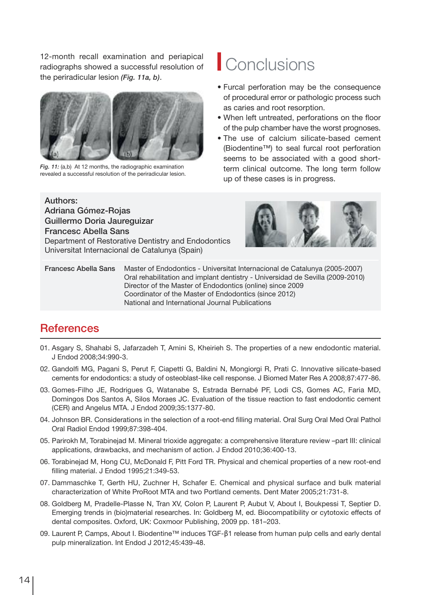12-month recall examination and periapical radiographs showed a successful resolution of the periradicular lesion *(Fig. 11a, b)*.



*Fig. 11:* (a,b) At 12 months, the radiographic examination revealed a successful resolution of the periradicular lesion.

Department of Restorative Dentistry and Endodontics

### **Conclusions**

- Furcal perforation may be the consequence of procedural error or pathologic process such as caries and root resorption.
- When left untreated, perforations on the floor of the pulp chamber have the worst prognoses.
- The use of calcium silicate-based cement (Biodentine™) to seal furcal root perforation seems to be associated with a good shortterm clinical outcome. The long term follow up of these cases is in progress.



Universitat Internacional de Catalunya (Spain) **Francesc Abella Sans** Master of Endodontics - Universitat Internacional de Catalunya (2005-2007) Oral rehabilitation and implant dentistry - Universidad de Sevilla (2009-2010) Director of the Master of Endodontics (online) since 2009 Coordinator of the Master of Endodontics (since 2012) National and International Journal Publications

#### **References**

**Authors:**

**Adriana Gómez-Rojas**

**Francesc Abella Sans**

**Guillermo Doria Jaureguizar**

- 01. Asgary S, Shahabi S, Jafarzadeh T, Amini S, Kheirieh S. The properties of a new endodontic material. J Endod 2008;34:990-3.
- 02. Gandolfi MG, Pagani S, Perut F, Ciapetti G, Baldini N, Mongiorgi R, Prati C. Innovative silicate-based cements for endodontics: a study of osteoblast-like cell response. J Biomed Mater Res A 2008;87:477-86.
- 03. Gomes-Filho JE, Rodrigues G, Watanabe S, Estrada Bernabé PF, Lodi CS, Gomes AC, Faria MD, Domingos Dos Santos A, Silos Moraes JC. Evaluation of the tissue reaction to fast endodontic cement (CER) and Angelus MTA. J Endod 2009;35:1377-80.
- 04. Johnson BR. Considerations in the selection of a root-end filling material. Oral Surg Oral Med Oral Pathol Oral Radiol Endod 1999;87:398-404.
- 05. Parirokh M, Torabinejad M. Mineral trioxide aggregate: a comprehensive literature review –part III: clinical applications, drawbacks, and mechanism of action. J Endod 2010;36:400-13.
- 06. Torabinejad M, Hong CU, McDonald F, Pitt Ford TR. Physical and chemical properties of a new root-end filling material. J Endod 1995;21:349-53.
- 07. Dammaschke T, Gerth HU, Zuchner H, Schafer E. Chemical and physical surface and bulk material characterization of White ProRoot MTA and two Portland cements. Dent Mater 2005;21:731-8.
- 08. Goldberg M, Pradelle-Plasse N, Tran XV, Colon P, Laurent P, Aubut V, About I, Boukpessi T, Septier D. Emerging trends in (bio)material researches. In: Goldberg M, ed. Biocompatibility or cytotoxic effects of dental composites. Oxford, UK: Coxmoor Publishing, 2009 pp. 181–203.
- 09. Laurent P, Camps, About I. Biodentine™ induces TGF-β1 release from human pulp cells and early dental pulp mineralization. Int Endod J 2012;45:439-48.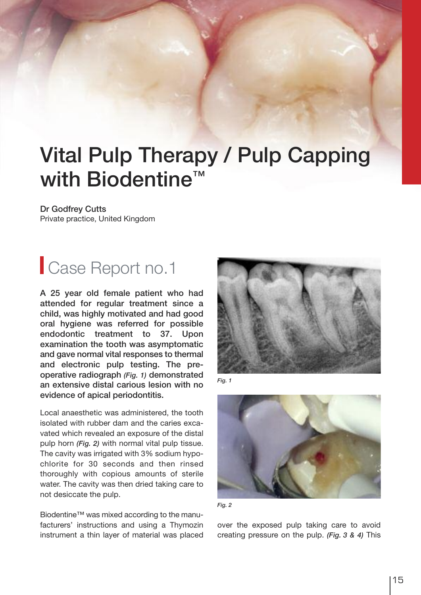### **Vital Pulp Therapy / Pulp Capping with Biodentine™**

**Dr Godfrey Cutts** Private practice, United Kingdom

### Case Report no.1

**A 25 year old female patient who had attended for regular treatment since a child, was highly motivated and had good oral hygiene was referred for possible endodontic treatment to 37. Upon examination the tooth was asymptomatic and gave normal vital responses to thermal and electronic pulp testing. The preoperative radiograph** *(Fig. 1)* **demonstrated an extensive distal carious lesion with no evidence of apical periodontitis.**

Local anaesthetic was administered, the tooth isolated with rubber dam and the caries excavated which revealed an exposure of the distal pulp horn *(Fig. 2)* with normal vital pulp tissue. The cavity was irrigated with 3% sodium hypochlorite for 30 seconds and then rinsed thoroughly with copious amounts of sterile water. The cavity was then dried taking care to not desiccate the pulp.

Biodentine™ was mixed according to the manufacturers' instructions and using a Thymozin instrument a thin layer of material was placed



*Fig. 1*





over the exposed pulp taking care to avoid creating pressure on the pulp. *(Fig. 3 & 4)* This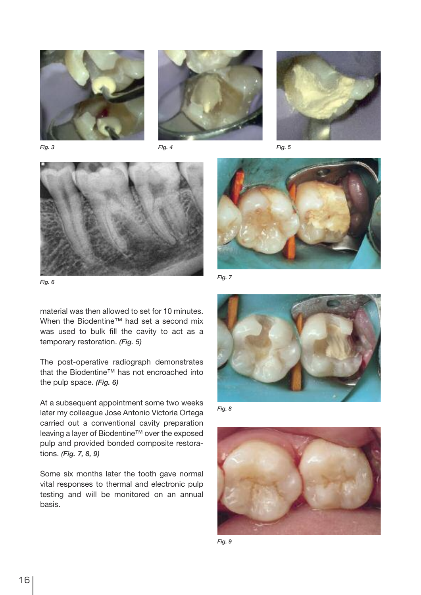









*Fig. 6*

material was then allowed to set for 10 minutes. When the Biodentine™ had set a second mix was used to bulk fill the cavity to act as a temporary restoration. *(Fig. 5)*

The post-operative radiograph demonstrates that the Biodentine™ has not encroached into the pulp space. *(Fig. 6)*

At a subsequent appointment some two weeks later my colleague Jose Antonio Victoria Ortega carried out a conventional cavity preparation leaving a layer of Biodentine™ over the exposed pulp and provided bonded composite restorations. *(Fig. 7, 8, 9)*

Some six months later the tooth gave normal vital responses to thermal and electronic pulp testing and will be monitored on an annual basis.



*Fig. 7*



*Fig. 8*



*Fig. 9*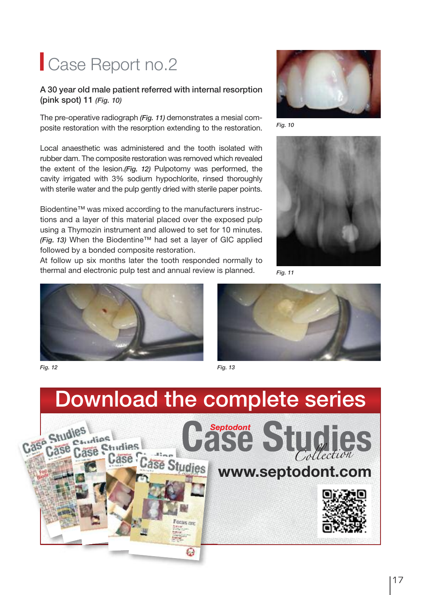### Case Report no.2

**A 30 year old male patient referred with internal resorption (pink spot) 11** *(Fig. 10)*

The pre-operative radiograph *(Fig. 11)* demonstrates a mesial composite restoration with the resorption extending to the restoration.

Local anaesthetic was administered and the tooth isolated with rubber dam. The composite restoration was removed which revealed the extent of the lesion.*(Fig. 12)* Pulpotomy was performed, the cavity irrigated with 3% sodium hypochlorite, rinsed thoroughly with sterile water and the pulp gently dried with sterile paper points.

Biodentine™ was mixed according to the manufacturers instructions and a layer of this material placed over the exposed pulp using a Thymozin instrument and allowed to set for 10 minutes. *(Fig. 13)* When the Biodentine™ had set a layer of GIC applied followed by a bonded composite restoration.

At follow up six months later the tooth responded normally to thermal and electronic pulp test and annual review is planned.





*Fig. 10*



*Fig. 11*



*Fig. 12 Fig. 13*

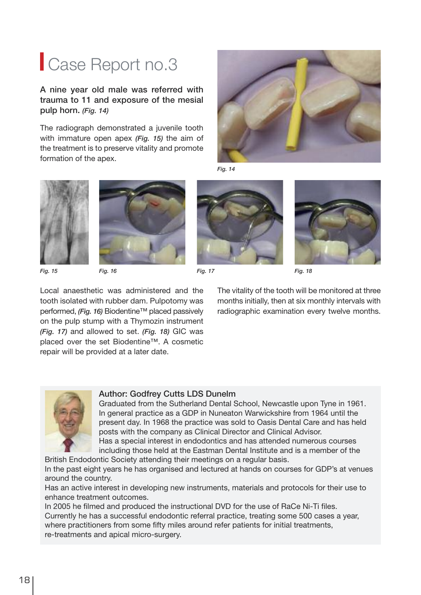### Case Report no.3

**A nine year old male was referred with trauma to 11 and exposure of the mesial pulp horn.** *(Fig. 14)*

The radiograph demonstrated a juvenile tooth with immature open apex *(Fig. 15)* the aim of the treatment is to preserve vitality and promote formation of the apex.









*Fig. 15 Fig. 16 Fig. 17 Fig. 18*

Local anaesthetic was administered and the tooth isolated with rubber dam. Pulpotomy was performed, *(Fig. 16)* Biodentine™ placed passively on the pulp stump with a Thymozin instrument *(Fig. 17)* and allowed to set. *(Fig. 18)* GIC was placed over the set Biodentine™. A cosmetic repair will be provided at a later date.



The vitality of the tooth will be monitored at three months initially, then at six monthly intervals with radiographic examination every twelve months.



#### **Author: Godfrey Cutts LDS Dunelm**

Graduated from the Sutherland Dental School, Newcastle upon Tyne in 1961. In general practice as a GDP in Nuneaton Warwickshire from 1964 until the present day. In 1968 the practice was sold to Oasis Dental Care and has held posts with the company as Clinical Director and Clinical Advisor. Has a special interest in endodontics and has attended numerous courses

including those held at the Eastman Dental Institute and is a member of the British Endodontic Society attending their meetings on a regular basis.

In the past eight years he has organised and lectured at hands on courses for GDP's at venues around the country.

Has an active interest in developing new instruments, materials and protocols for their use to enhance treatment outcomes.

In 2005 he filmed and produced the instructional DVD for the use of RaCe Ni-Ti files. Currently he has a successful endodontic referral practice, treating some 500 cases a year, where practitioners from some fifty miles around refer patients for initial treatments, re-treatments and apical micro-surgery.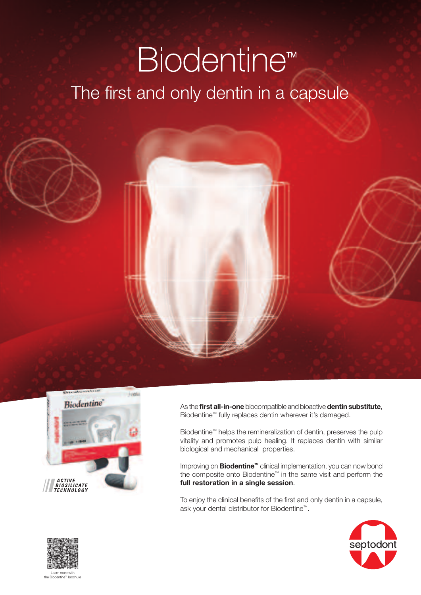# **Biodentine™**

### The first and only dentin in a capsule



As the **first all-in-one** biocompatible and bioactive **dentin substitute**, Biodentine™ fully replaces dentin wherever it's damaged.

Biodentine™ helps the remineralization of dentin, preserves the pulp vitality and promotes pulp healing. It replaces dentin with similar biological and mechanical properties.

Improving on **Biodentine™** clinical implementation, you can now bond the composite onto Biodentine™ in the same visit and perform the **full restoration in a single session**.

To enjoy the clinical benefits of the first and only dentin in a capsule, ask your dental distributor for Biodentine™.





Learn more with the Biodentine™ brochure